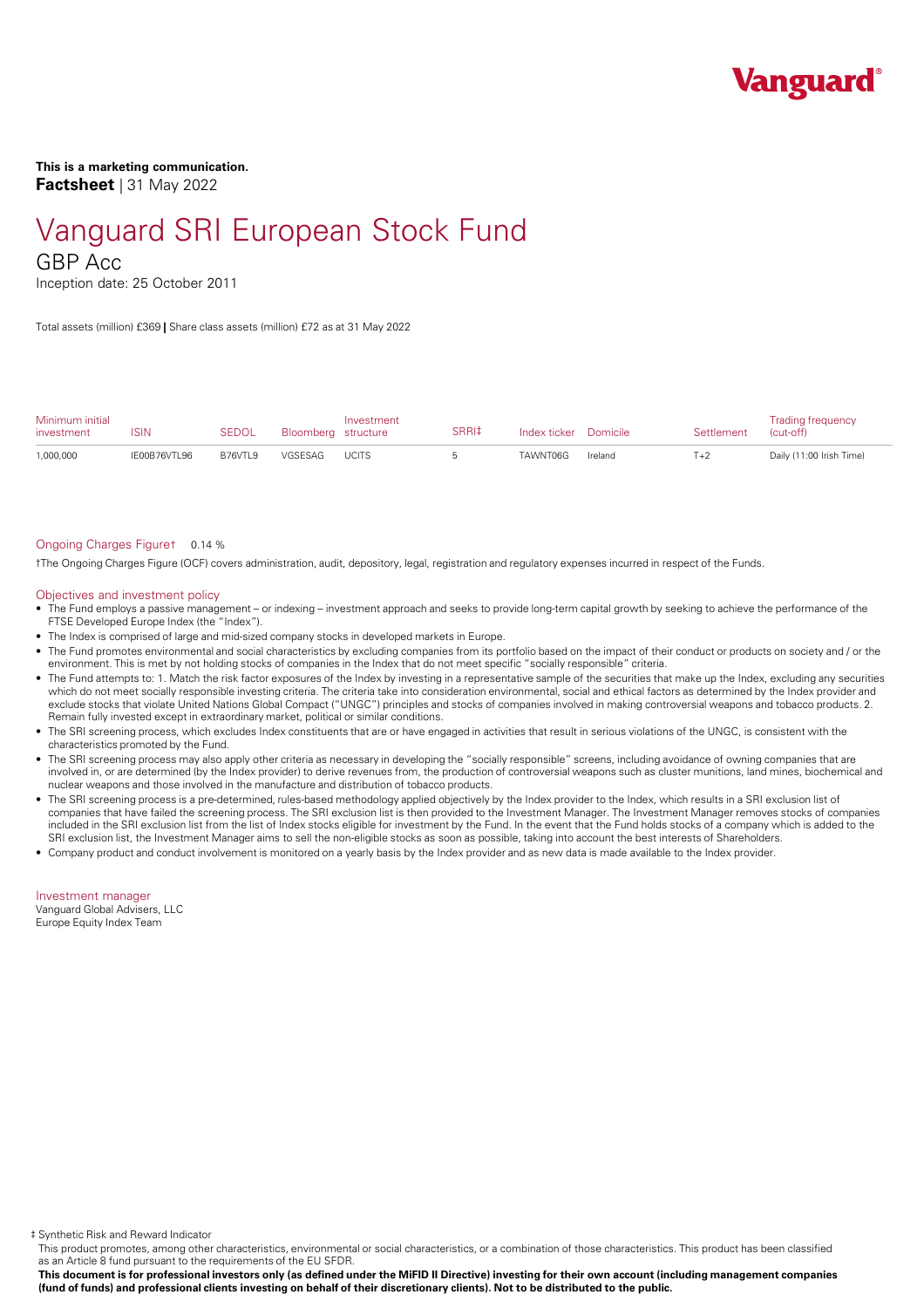

**This is a marketing communication. Factsheet** | 31 May 2022

# Vanguard SRI European Stock Fund

GBP Acc

Inception date: 25 October 2011

Total assets (million) £369 **|** Share class assets (million) £72 as at 31 May 2022

| Minimum initial<br>investment | ISIN         | SEDOL    | Bloomberg structure | Investment   | SRRI‡ | Index ticker Domicile |         | Settlement | <b>Trading frequency</b><br>(cut-off) |
|-------------------------------|--------------|----------|---------------------|--------------|-------|-----------------------|---------|------------|---------------------------------------|
| 1,000,000                     | IE00B76VTL96 | B76VTI 9 | VGSESAG             | <b>UCITS</b> |       | TAWNT06G              | Ireland | $T+2$      | Daily (11:00 Irish Time)              |

#### Ongoing Charges Figure† 0.14 %

†The Ongoing Charges Figure (OCF) covers administration, audit, depository, legal, registration and regulatory expenses incurred in respect of the Funds.

#### Objectives and investment policy

- The Fund employs a passive management orindexing investment approach and seeks to provide long-term capital growth by seeking to achieve the performance of the FTSE Developed Europe Index (the "Index").
- The Index is comprised of large and mid-sized company stocks in developed markets in Europe.
- The Fund promotes environmental and social characteristics by excluding companies from its portfolio based on the impact of their conduct or products on society and / orthe environment. This is met by not holding stocks of companies in the Index that do notmeet specific "socially responsible" criteria.
- The Fund attempts to: 1. Match the risk factor exposures of the Index by investing in a representative sample of the securities that make up the Index, excluding any securities which do not meet socially responsible investing criteria. The criteria take into consideration environmental, social and ethical factors as determined by the Index provider and exclude stocks that violate United Nations Global Compact ("UNGC") principles and stocks of companies involved in making controversial weapons and tobacco products. 2. Remain fully invested except in extraordinary market, political or similar conditions.
- The SRI screening process, which excludes Index constituents that are or have engaged in activities that result in serious violations of the UNGC, is consistent with the characteristics promoted by the Fund.
- The SRI screening process may also apply other criteria as necessary in developing the "socially responsible" screens, including avoidance of owning companies that are involved in, or are determined (by the Index provider) to derive revenues from, the production of controversial weapons such as cluster munitions, land mines, biochemical and nuclear weapons and those involved in the manufacture and distribution of tobacco products.
- The SRI screening process is a pre-determined, rules-based methodology applied objectively by the Index provider to the Index, which results in a SRI exclusion list of companies that have failed the screening process. The SRI exclusion list is then provided to the Investment Manager. The Investment Manager removes stocks of companies included in the SRI exclusion list from the list of Index stocks eligible for investment by the Fund. In the event that the Fund holds stocks of a company which is added to the SRI exclusion list, the Investment Manager aims to sell the non-eligible stocks as soon as possible, taking into account the best interests of Shareholders.
- Company product and conduct involvement is monitored on a yearly basis by the Index provider and as new data is made available to the Index provider.

Investment manager Vanguard Global Advisers, LLC Europe Equity Index Team

‡ Synthetic Risk and Reward Indicator

This product promotes, among other characteristics, environmental or social characteristics, or a combination of those characteristics. This product has been classified as an Article 8 fund pursuant to the requirements of the EU SFDR.

This document is for professional investors only (as defined under the MiFID II Directive) investing for their own account (including management companies (fund of funds) and professional clients investing on behalf of their discretionary clients). Not to be distributed to the public.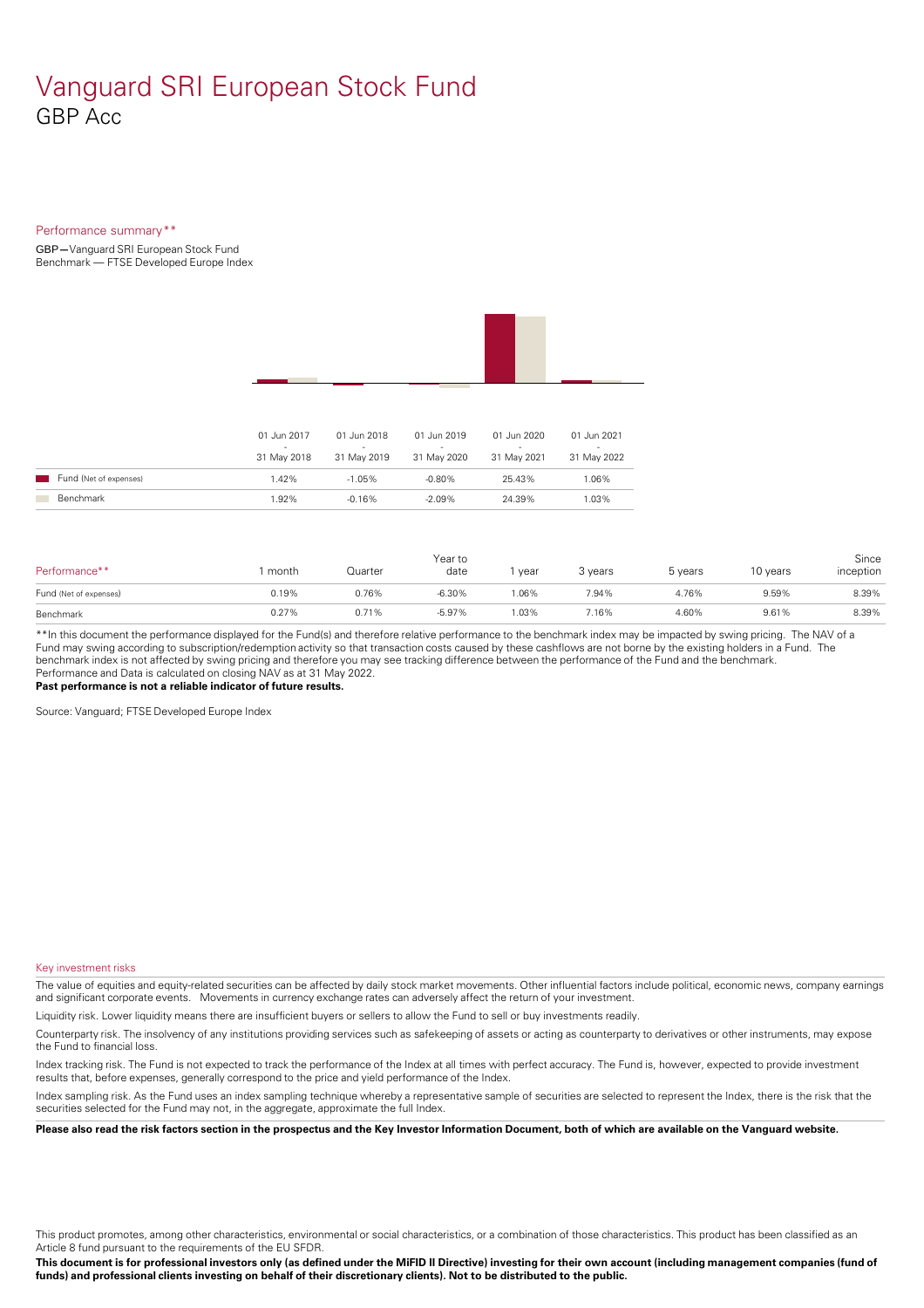### Vanguard SRI European Stock Fund GBP Acc

#### Performance summary\*\*

GBP**—**Vanguard SRI European Stock Fund Benchmark — FTSE Developed Europe Index



|                        | 01 Jun 2017<br>-<br>31 May 2018 | 01 Jun 2018<br>$\sim$<br>31 May 2019 | 01 Jun 2019<br>-<br>31 May 2020 | 01 Jun 2020<br>31 May 2021 | 01 Jun 2021<br>31 May 2022 |
|------------------------|---------------------------------|--------------------------------------|---------------------------------|----------------------------|----------------------------|
| Fund (Net of expenses) | $1.42\%$                        | $-1.05\%$                            | -0.80%                          | 25.43%                     | $.06\%$                    |
| <b>Benchmark</b>       | 1.92%                           | $-0.16\%$                            | $-2.09\%$                       | 24.39%                     | $.03\%$                    |

| Performance**          | month | Quarter | Year to<br>date | year | 3 years | 5 years | 10 years | Since<br>inception |
|------------------------|-------|---------|-----------------|------|---------|---------|----------|--------------------|
| Fund (Net of expenses) | 0.19% | 0.76%   | $-6.30%$        | .06% | 7.94%   | 4.76%   | 9.59%    | 8.39%              |
| Benchmark              | 0.27% | 0.71%   | $-5.97%$        | .03% | 7.16%   | 4.60%   | 9.61%    | 8.39%              |

\*\*In this document the performance displayed for the Fund(s) and therefore relative performance to the benchmark index may be impacted by swing pricing. The NAV of a Fund may swing according to subscription/redemption activity so that transaction costs caused by these cashflows are notborne by the existing holders in a Fund. The benchmark index is not affected by swing pricing and therefore you may see tracking difference between the performance of the Fund and the benchmark. Performance and Data is calculated on closing NAV as at 31 May 2022.

**Past performance is not a reliable indicator of future results.**

Source: Vanguard; FTSE Developed Europe Index

#### Key investment risks

The value of equities and equity-related securities can be affected by daily stock market movements. Other influential factors include political, economic news, company earnings and significant corporate events. Movements in currency exchange rates can adversely affect the return of your investment.

Liquidity risk. Lower liquidity means there are insufficient buyers or sellers to allow the Fund to sell or buy investments readily.

Counterparty risk. The insolvency ofany institutions providing services such as safekeeping of assets or acting as counterparty to derivatives or other instruments, may expose the Fund to financial loss.

Index tracking risk.The Fund is not expected to track the performance of the Index at all times with perfect accuracy. The Fund is, however, expected to provide investment results that, before expenses, generally correspond to the price and yield performance of the Index.

Index sampling risk. As the Fund uses an index sampling technique whereby a representative sample of securities are selected to represent the Index, there is the risk that the securities selected for the Fund may not, in the aggregate, approximate the full Index.

Please also read the risk factors section in the prospectus and the Key Investor Information Document, both of which are available on the Vanguard website.

This product promotes, among other characteristics, environmental or social characteristics, or a combination of those characteristics. This product has been classified as an Article 8 fund pursuant to the requirements of the EU SFDR.

This document is for professional investors only (as defined under the MiFID II Directive) investing for their own account (including management companies (fund of funds) and professional clients investing on behalf of their discretionary clients). Not to be distributed to the public.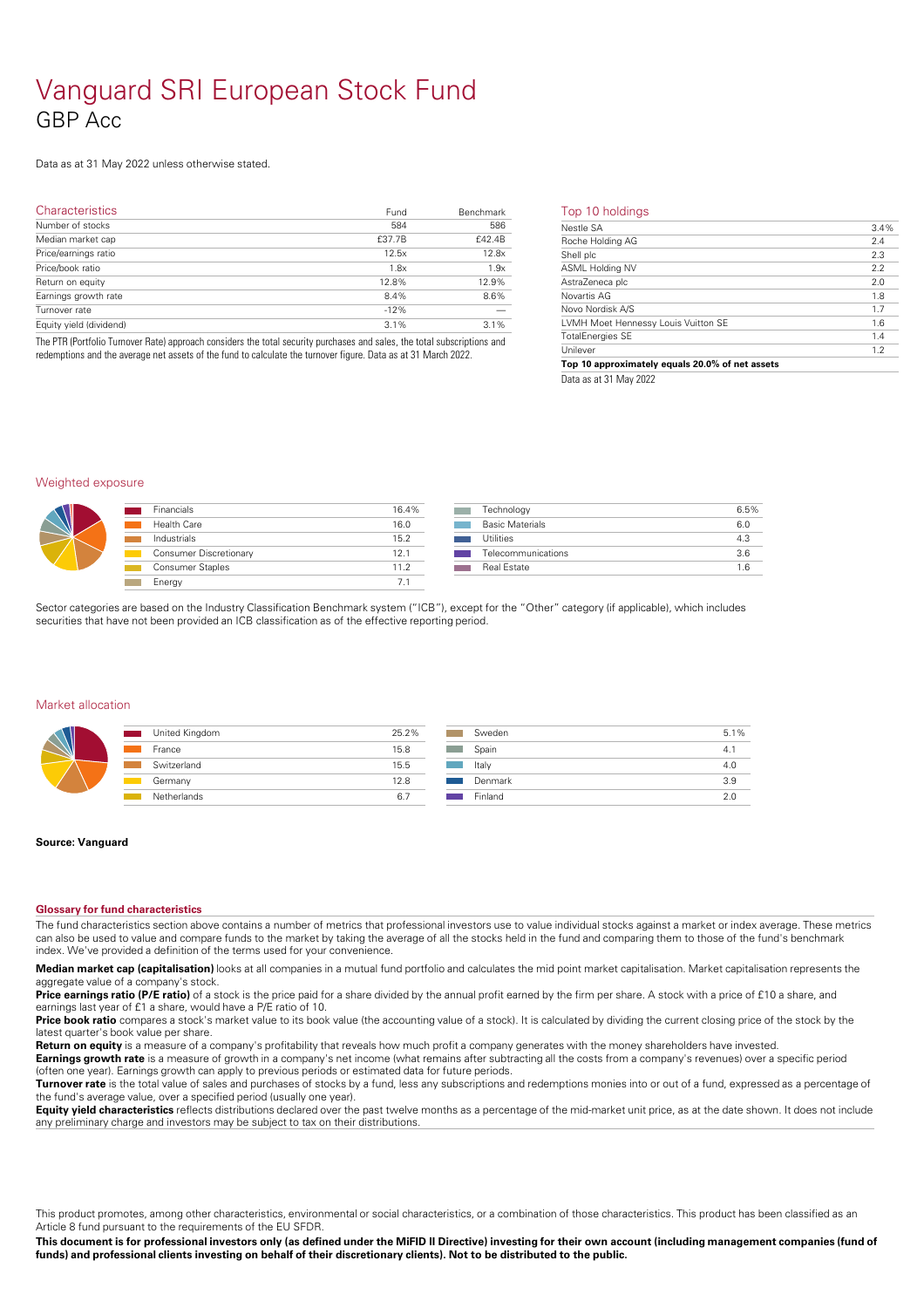## Vanguard SRI European Stock Fund GBP Acc

### Data as at 31 May 2022 unless otherwise stated.

| <b>Characteristics</b>  | Fund   | Benchmark | Тc                                |
|-------------------------|--------|-----------|-----------------------------------|
| Number of stocks        | 584    | 586       | $\overline{\mathsf{Ne}}$          |
| Median market cap       | £37.7B | £42.4B    | Ro                                |
| Price/earnings ratio    | 12.5x  | 12.8x     | Sh                                |
| Price/book ratio        | 1.8x   | 1.9x      | $\frac{1}{AS}$                    |
| Return on equity        | 12.8%  | 12.9%     | Ast                               |
| Earnings growth rate    | 8.4%   | 8.6%      | $\frac{\text{No}}{\text{No}}$     |
| Turnover rate           | $-12%$ |           |                                   |
| Equity yield (dividend) | 3.1%   | 3.1%      | <b>LVI</b>                        |
|                         |        |           | <b>Contract Contract Contract</b> |

The PTR (Portfolio Turnover Rate) approach considers the total security purchases and sales, the total subscriptions and redemptions and the average net assets of the fund to calculate the turnover figure. Data as at 31 March 2022.

| Top 10 holdings |
|-----------------|
|-----------------|

| Nestle SA                           | 3.4% |
|-------------------------------------|------|
| Roche Holding AG                    | 2.4  |
| Shell plc                           | 2.3  |
| ASML Holding NV                     | 2.2  |
| AstraZeneca plc                     | 2.0  |
| Novartis AG                         | 1.8  |
| Novo Nordisk A/S                    | 1.7  |
| LVMH Moet Hennessy Louis Vuitton SE | 1.6  |
| <b>TotalEnergies SE</b>             | 1.4  |
| Unilever                            | 1.2  |

Data as at 31 May 2022

#### Weighted exposure

| <b>Financials</b>             | 16.4% | Technology             | 6.5% |
|-------------------------------|-------|------------------------|------|
| <b>Health Care</b>            | 16.0  | <b>Basic Materials</b> | 6.0  |
| Industrials                   | 15.2  | <b>Utilities</b>       | 4.3  |
| <b>Consumer Discretionary</b> | 12.1  | Telecommunications     | 3.6  |
| Consumer Staples              | 11.2  | Real Estate            | 1.6  |
| Energy                        |       |                        |      |

Sector categories are based on the Industry Classification Benchmark system ("ICB"), except for the "Other" category (if applicable), which includes securities that have not been provided an ICB classification as of the effective reporting period.

#### Market allocation

| United Kingdom<br>and the state of the state of the state of the state of the state of the state of the state of the state of th | 25.2% | Sw   |
|----------------------------------------------------------------------------------------------------------------------------------|-------|------|
| France                                                                                                                           | 15.8  | Spa  |
| Switzerland                                                                                                                      | 15.5  | Ital |
| Germany                                                                                                                          | 12.8  | Dei  |
| Netherlands                                                                                                                      | 6.    | Finl |

| Sweden  | 5.1% |
|---------|------|
| Spain   | 4.1  |
| Italy   | 4.0  |
| Denmark | 3.9  |
| Finland | 2 በ  |

#### **Source: Vanguard**

#### **Glossary for fund characteristics**

The fund characteristics section above contains a number of metrics that professional investors use to value individual stocks against a market or index average. These metrics can also be used to value and compare funds to the market by taking the average of all the stocks held in the fund and comparing them to those of the fund's benchmark index. We've provided a definition of the terms used for your convenience.

**Median market cap (capitalisation)** looks at all companies in a mutual fund portfolio and calculates the mid point market capitalisation. Market capitalisation represents the aggregate value of a company's stock.

Price **earnings ratio (P/E ratio)** of a stock is the price paid for a share divided by the annual profit earned by the firm per share. A stock with a price of £10 a share, and earnings last year of £1 a share, would have a P/E ratio of 10.

Price book ratio compares a stock's market value to its book value (the accounting value of a stock). It is calculated by dividing the current closing price of the stock by the latest quarter's book value per share.

**Return on equity** is a measure of a company's profitability that reveals how much profit a company generates with the money shareholders have invested. **Earnings growth rate** is a measure of growth in a company's net income (what remains after subtracting all the costs from a company's revenues) over a specific period

(often one year). Earnings growth can apply to previous periods or estimated data for future periods. **Turnover rate** is the total value of sales and purchases of stocks by a fund, less any subscriptions and redemptions monies into or out of a fund, expressed as a percentage of the fund's average value, over a specified period (usually one year).

**Equity yield characteristics** reflects distributions declared over the past twelve months as a percentage of the mid-market unit price, as at the date shown. It does not include any preliminary charge and investors may be subject to tax on their distributions.

This product promotes, among other characteristics, environmental or social characteristics, or a combination of those characteristics. This product has been classified as an Article 8 fund pursuant to the requirements of the EU SFDR.

This document is for professional investors only (as defined under the MiFID II Directive) investing for their own account (including management companies (fund of funds) and professional clients investing on behalf of their discretionary clients). Not to be distributed to the public.